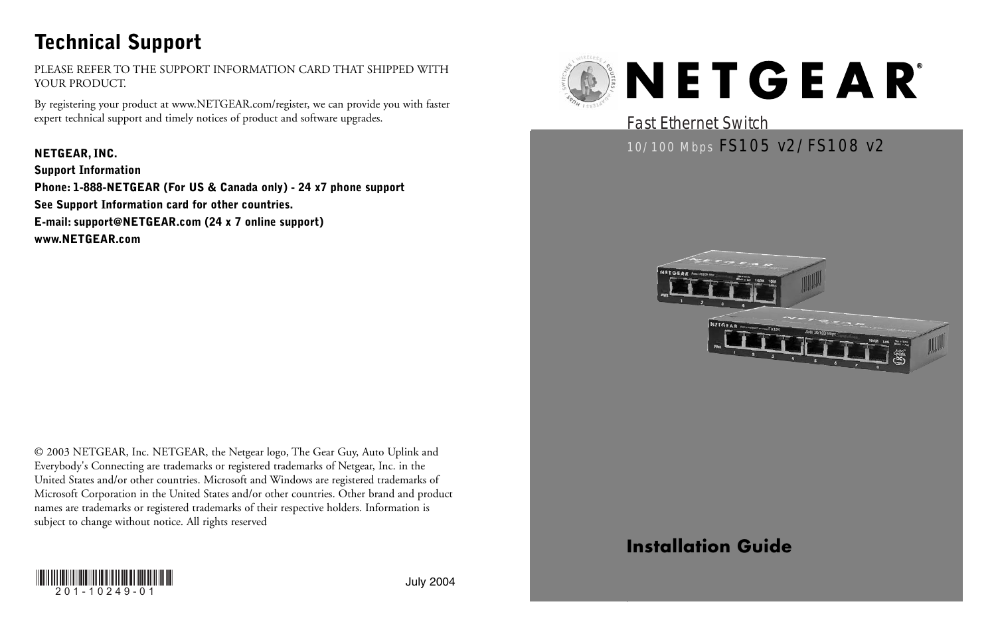## **Technical Support**

PLEASE REFER TO THE SUPPORT INFORMATION CARD THAT SHIPPED WITH YOUR PRODUCT.

By registering your product at www.NETGEAR.com/register, we can provide you with faster expert technical support and timely notices of product and software upgrades.

**NETGEAR, INC. Support Information Phone: 1-888-NETGEAR (For US & Canada only) - 24 x7 phone support See Support Information card for other countries. E-mail: support@NETGEAR.com (24 x 7 online support) www.NETGEAR.com**

© 2003 NETGEAR, Inc. NETGEAR, the Netgear logo, The Gear Guy, Auto Uplink and Everybody's Connecting are trademarks or registered trademarks of Netgear, Inc. in the United States and/or other countries. Microsoft and Windows are registered trademarks of Microsoft Corporation in the United States and/or other countries. Other brand and product names are trademarks or registered trademarks of their respective holders. Information is subject to change without notice. All rights reserved



## Fast Ethernet Switch

## 10/100 Mbps FS105 v2/FS108 v2





## **Installation Guide**

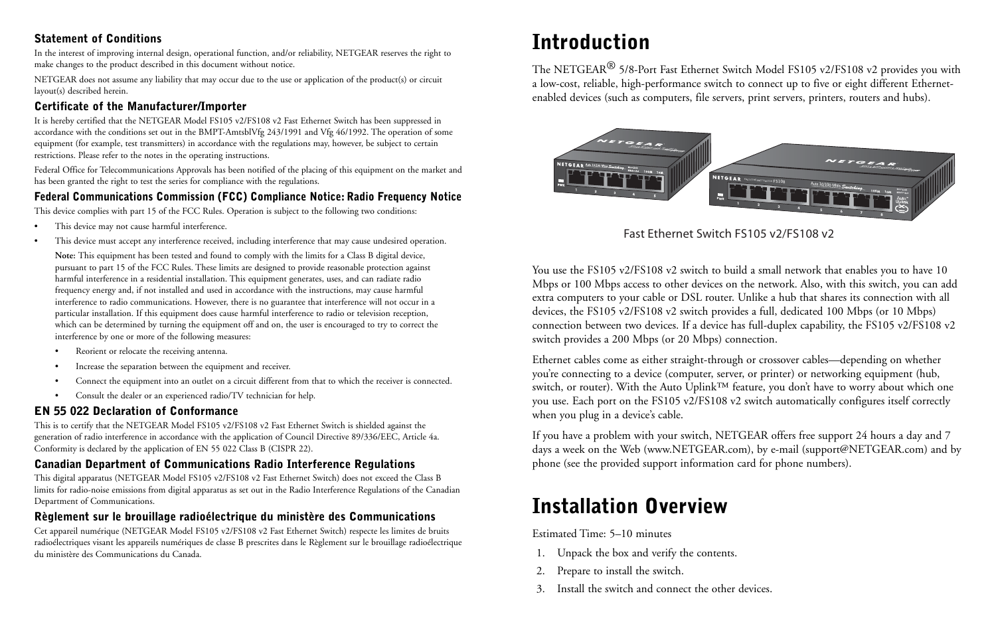#### **Statement of Conditions**

In the interest of improving internal design, operational function, and/or reliability, NETGEAR reserves the right to make changes to the product described in this document without notice.

NETGEAR does not assume any liability that may occur due to the use or application of the product(s) or circuit layout(s) described herein.

## **Certificate of the Manufacturer/Importer**

It is hereby certified that the NETGEAR Model FS105 v2/FS108 v2 Fast Ethernet Switch has been suppressed in accordance with the conditions set out in the BMPT-AmtsblVfg 243/1991 and Vfg 46/1992. The operation of some equipment (for example, test transmitters) in accordance with the regulations may, however, be subject to certain restrictions. Please refer to the notes in the operating instructions.

Federal Office for Telecommunications Approvals has been notified of the placing of this equipment on the market and has been granted the right to test the series for compliance with the regulations.

#### **Federal Communications Commission (FCC) Compliance Notice: Radio Frequency Notice**

This device complies with part 15 of the FCC Rules. Operation is subject to the following two conditions:

- This device may not cause harmful interference.
- This device must accept any interference received, including interference that may cause undesired operation.

**Note:** This equipment has been tested and found to comply with the limits for a Class B digital device, pursuant to part 15 of the FCC Rules. These limits are designed to provide reasonable protection against harmful interference in a residential installation. This equipment generates, uses, and can radiate radio frequency energy and, if not installed and used in accordance with the instructions, may cause harmful interference to radio communications. However, there is no guarantee that interference will not occur in a particular installation. If this equipment does cause harmful interference to radio or television reception, which can be determined by turning the equipment off and on, the user is encouraged to try to correct the interference by one or more of the following measures:

- Reorient or relocate the receiving antenna.
- Increase the separation between the equipment and receiver.
- Connect the equipment into an outlet on a circuit different from that to which the receiver is connected.
- Consult the dealer or an experienced radio/TV technician for help.

#### **EN 55 022 Declaration of Conformance**

This is to certify that the NETGEAR Model FS105 v2/FS108 v2 Fast Ethernet Switch is shielded against the generation of radio interference in accordance with the application of Council Directive 89/336/EEC, Article 4a. Conformity is declared by the application of EN 55 022 Class B (CISPR 22).

## **Canadian Department of Communications Radio Interference Regulations**

This digital apparatus (NETGEAR Model FS105 v2/FS108 v2 Fast Ethernet Switch) does not exceed the Class B limits for radio-noise emissions from digital apparatus as set out in the Radio Interference Regulations of the Canadian Department of Communications.

## **Règlement sur le brouillage radioélectrique du ministère des Communications**

Cet appareil numérique (NETGEAR Model FS105 v2/FS108 v2 Fast Ethernet Switch) respecte les limites de bruits radioélectriques visant les appareils numériques de classe B prescrites dans le Règlement sur le brouillage radioélectrique du ministère des Communications du Canada.

## **Introduction**

The NETGEAR® 5/8-Port Fast Ethernet Switch Model FS105 v2/FS108 v2 provides you with a low-cost, reliable, high-performance switch to connect up to five or eight different Ethernetenabled devices (such as computers, file servers, print servers, printers, routers and hubs).



Fast Ethernet Switch FS105 v2/FS108 v2

You use the FS105 v2/FS108 v2 switch to build a small network that enables you to have 10 Mbps or 100 Mbps access to other devices on the network. Also, with this switch, you can add extra computers to your cable or DSL router. Unlike a hub that shares its connection with all devices, the FS105 v2/FS108 v2 switch provides a full, dedicated 100 Mbps (or 10 Mbps) connection between two devices. If a device has full-duplex capability, the FS105 v2/FS108 v2 switch provides a 200 Mbps (or 20 Mbps) connection.

Ethernet cables come as either straight-through or crossover cables—depending on whether you're connecting to a device (computer, server, or printer) or networking equipment (hub, switch, or router). With the Auto Uplink™ feature, you don't have to worry about which one you use. Each port on the FS105 v2/FS108 v2 switch automatically configures itself correctly when you plug in a device's cable.

If you have a problem with your switch, NETGEAR offers free support 24 hours a day and 7 days a week on the Web (www.NETGEAR.com), by e-mail (support@NETGEAR.com) and by phone (see the provided support information card for phone numbers).

## **Installation Overview**

Estimated Time: 5–10 minutes

- 1. Unpack the box and verify the contents.
- 2. Prepare to install the switch.
- 3. Install the switch and connect the other devices.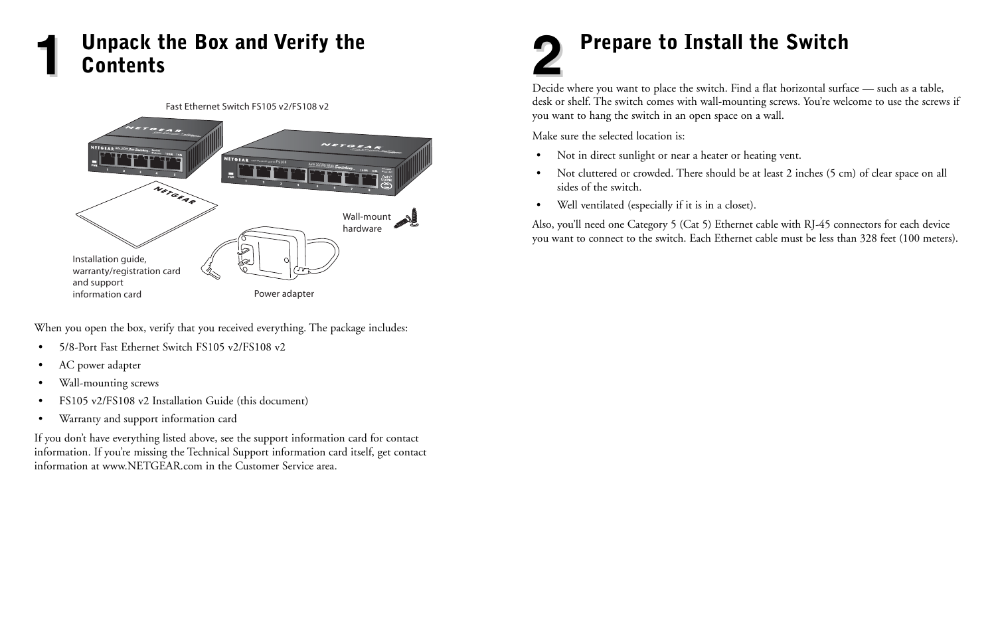## **1** Unpack the Box and Verify the **1990 Contents Prepare to Install the Switch Contents**

#### Fast Ethernet Switch FS105 v2/FS108 v2



When you open the box, verify that you received everything. The package includes:

- 5/8-Port Fast Ethernet Switch FS105 v2/FS108 v2
- AC power adapter
- Wall-mounting screws
- FS105 v2/FS108 v2 Installation Guide (this document)
- Warranty and support information card

If you don't have everything listed above, see the support information card for contact information. If you're missing the Technical Support information card itself, get contact information at www.NETGEAR.com in the Customer Service area.

# **Prepare to Install the Switch**<br>Decide where you want to place the switch. Find a flat horizontal surface — such as a table,

desk or shelf. The switch comes with wall-mounting screws. You're welcome to use the screws if you want to hang the switch in an open space on a wall.

Make sure the selected location is:

- Not in direct sunlight or near a heater or heating vent.
- Not cluttered or crowded. There should be at least 2 inches (5 cm) of clear space on all sides of the switch.
- Well ventilated (especially if it is in a closet).

Also, you'll need one Category 5 (Cat 5) Ethernet cable with RJ-45 connectors for each device you want to connect to the switch. Each Ethernet cable must be less than 328 feet (100 meters).